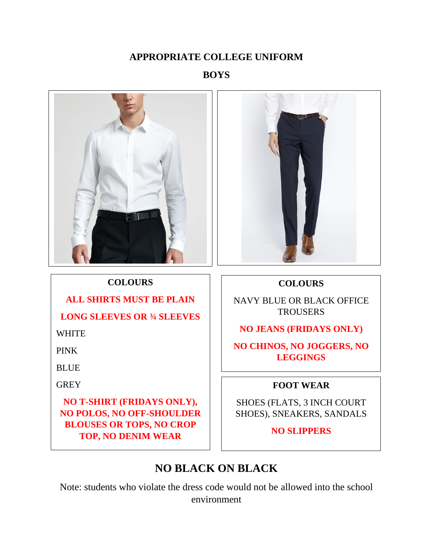#### **APPROPRIATE COLLEGE UNIFORM**

## **BOYS**



**COLOURS**

**ALL SHIRTS MUST BE PLAIN**

**LONG SLEEVES OR ¾ SLEEVES**

**NO T-SHIRT (FRIDAYS ONLY), NO POLOS, NO OFF-SHOULDER BLOUSES OR TOPS, NO CROP TOP, NO DENIM WEAR**

WHITE

PINK

**BLUE** 

GREY



#### **COLOURS**

NAVY BLUE OR BLACK OFFICE **TROUSERS** 

**NO JEANS (FRIDAYS ONLY)**

**NO CHINOS, NO JOGGERS, NO LEGGINGS**

#### **FOOT WEAR**

SHOES (FLATS, 3 INCH COURT SHOES), SNEAKERS, SANDALS

**NO SLIPPERS**

# **NO BLACK ON BLACK**

Note: students who violate the dress code would not be allowed into the school environment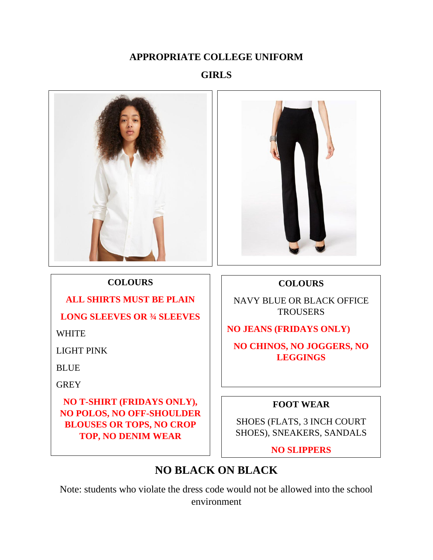#### **APPROPRIATE COLLEGE UNIFORM**

## **GIRLS**



**COLOURS**

**ALL SHIRTS MUST BE PLAIN**

**LONG SLEEVES OR ¾ SLEEVES**

**NO T-SHIRT (FRIDAYS ONLY), NO POLOS, NO OFF-SHOULDER BLOUSES OR TOPS, NO CROP TOP, NO DENIM WEAR**

WHITE

**BLUE** 

GREY

LIGHT PINK



#### **COLOURS**

NAVY BLUE OR BLACK OFFICE **TROUSERS** 

**NO JEANS (FRIDAYS ONLY)**

**NO CHINOS, NO JOGGERS, NO LEGGINGS**

#### **FOOT WEAR**

SHOES (FLATS, 3 INCH COURT SHOES), SNEAKERS, SANDALS

**NO SLIPPERS**

# **NO BLACK ON BLACK**

Note: students who violate the dress code would not be allowed into the school environment